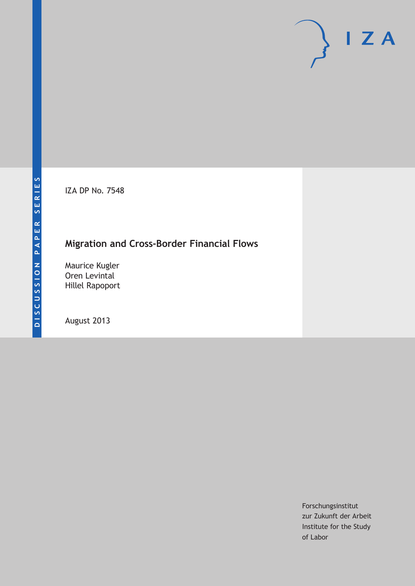IZA DP No. 7548

# **Migration and Cross-Border Financial Flows**

Maurice Kugler Oren Levintal Hillel Rapoport

August 2013

Forschungsinstitut zur Zukunft der Arbeit Institute for the Study of Labor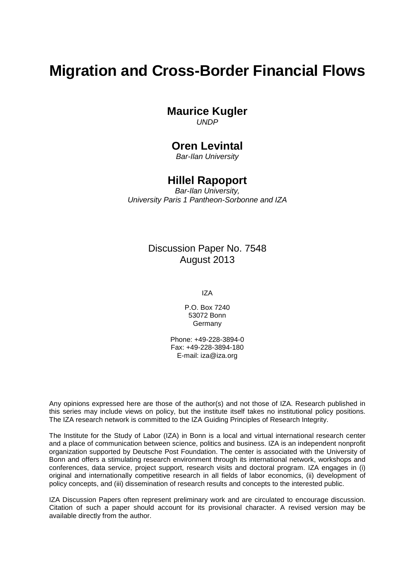# **Migration and Cross-Border Financial Flows**

#### **Maurice Kugler**

*UNDP*

#### **Oren Levintal**

*Bar-Ilan University*

#### **Hillel Rapoport**

*Bar-Ilan University, University Paris 1 Pantheon-Sorbonne and IZA*

#### Discussion Paper No. 7548 August 2013

IZA

P.O. Box 7240 53072 Bonn **Germany** 

Phone: +49-228-3894-0 Fax: +49-228-3894-180 E-mail: [iza@iza.org](mailto:iza@iza.org)

Any opinions expressed here are those of the author(s) and not those of IZA. Research published in this series may include views on policy, but the institute itself takes no institutional policy positions. The IZA research network is committed to the IZA Guiding Principles of Research Integrity.

The Institute for the Study of Labor (IZA) in Bonn is a local and virtual international research center and a place of communication between science, politics and business. IZA is an independent nonprofit organization supported by Deutsche Post Foundation. The center is associated with the University of Bonn and offers a stimulating research environment through its international network, workshops and conferences, data service, project support, research visits and doctoral program. IZA engages in (i) original and internationally competitive research in all fields of labor economics, (ii) development of policy concepts, and (iii) dissemination of research results and concepts to the interested public.

<span id="page-1-0"></span>IZA Discussion Papers often represent preliminary work and are circulated to encourage discussion. Citation of such a paper should account for its provisional character. A revised version may be available directly from the author.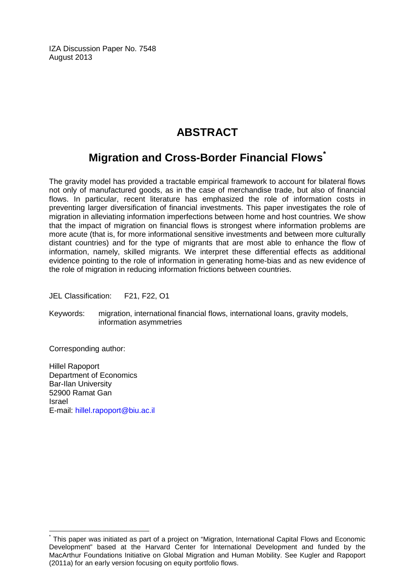IZA Discussion Paper No. 7548 August 2013

### **ABSTRACT**

## **Migration and Cross-Border Financial Flows[\\*](#page-1-0)**

The gravity model has provided a tractable empirical framework to account for bilateral flows not only of manufactured goods, as in the case of merchandise trade, but also of financial flows. In particular, recent literature has emphasized the role of information costs in preventing larger diversification of financial investments. This paper investigates the role of migration in alleviating information imperfections between home and host countries. We show that the impact of migration on financial flows is strongest where information problems are more acute (that is, for more informational sensitive investments and between more culturally distant countries) and for the type of migrants that are most able to enhance the flow of information, namely, skilled migrants. We interpret these differential effects as additional evidence pointing to the role of information in generating home-bias and as new evidence of the role of migration in reducing information frictions between countries.

JEL Classification: F21, F22, O1

Keywords: migration, international financial flows, international loans, gravity models, information asymmetries

Corresponding author:

Hillel Rapoport Department of Economics Bar-Ilan University 52900 Ramat Gan Israel E-mail: [hillel.rapoport@biu.ac.il](mailto:hillel.rapoport@biu.ac.il)

This paper was initiated as part of a project on "Migration, International Capital Flows and Economic Development" based at the Harvard Center for International Development and funded by the MacArthur Foundations Initiative on Global Migration and Human Mobility. See Kugler and Rapoport (2011a) for an early version focusing on equity portfolio flows.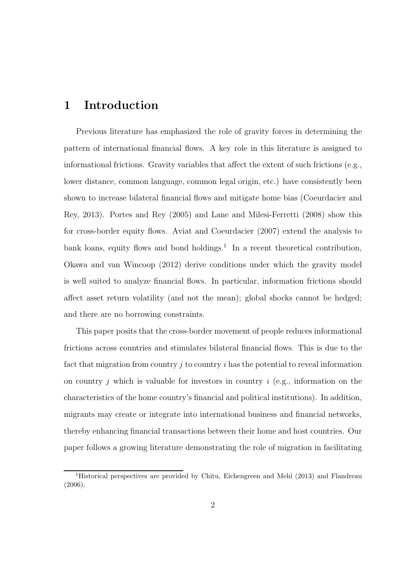### 1 Introduction

Previous literature has emphasized the role of gravity forces in determining the pattern of international financial flows. A key role in this literature is assigned to informational frictions. Gravity variables that affect the extent of such frictions (e.g., lower distance, common language, common legal origin, etc.) have consistently been shown to increase bilateral financial flows and mitigate home bias (Coeurdacier and Rey, 2013). Portes and Rey (2005) and Lane and Milesi-Ferretti (2008) show this for cross-border equity flows. Aviat and Coeurdacier (2007) extend the analysis to bank loans, equity flows and bond holdings.<sup>1</sup> In a recent theoretical contribution, Okawa and van Wincoop (2012) derive conditions under which the gravity model is well suited to analyze financial flows. In particular, information frictions should affect asset return volatility (and not the mean); global shocks cannot be hedged; and there are no borrowing constraints.

This paper posits that the cross-border movement of people reduces informational frictions across countries and stimulates bilateral financial flows. This is due to the fact that migration from country j to country i has the potential to reveal information on country  $j$  which is valuable for investors in country  $i$  (e.g., information on the characteristics of the home country's financial and political institutions). In addition, migrants may create or integrate into international business and financial networks, thereby enhancing financial transactions between their home and host countries. Our paper follows a growing literature demonstrating the role of migration in facilitating

<sup>&</sup>lt;sup>1</sup>Historical perspectives are provided by Chitu, Eichengreen and Mehl (2013) and Flandreau (2006).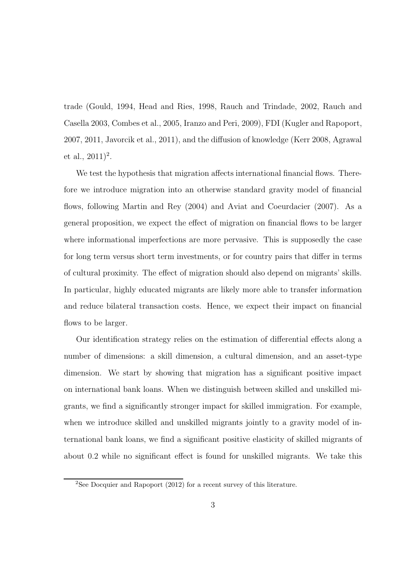trade (Gould, 1994, Head and Ries, 1998, Rauch and Trindade, 2002, Rauch and Casella 2003, Combes et al., 2005, Iranzo and Peri, 2009), FDI (Kugler and Rapoport, 2007, 2011, Javorcik et al., 2011), and the diffusion of knowledge (Kerr 2008, Agrawal et al.,  $(2011)^2$ .

We test the hypothesis that migration affects international financial flows. Therefore we introduce migration into an otherwise standard gravity model of financial flows, following Martin and Rey (2004) and Aviat and Coeurdacier (2007). As a general proposition, we expect the effect of migration on financial flows to be larger where informational imperfections are more pervasive. This is supposedly the case for long term versus short term investments, or for country pairs that differ in terms of cultural proximity. The effect of migration should also depend on migrants' skills. In particular, highly educated migrants are likely more able to transfer information and reduce bilateral transaction costs. Hence, we expect their impact on financial flows to be larger.

Our identification strategy relies on the estimation of differential effects along a number of dimensions: a skill dimension, a cultural dimension, and an asset-type dimension. We start by showing that migration has a significant positive impact on international bank loans. When we distinguish between skilled and unskilled migrants, we find a significantly stronger impact for skilled immigration. For example, when we introduce skilled and unskilled migrants jointly to a gravity model of international bank loans, we find a significant positive elasticity of skilled migrants of about 0.2 while no significant effect is found for unskilled migrants. We take this

<sup>&</sup>lt;sup>2</sup>See Docquier and Rapoport  $(2012)$  for a recent survey of this literature.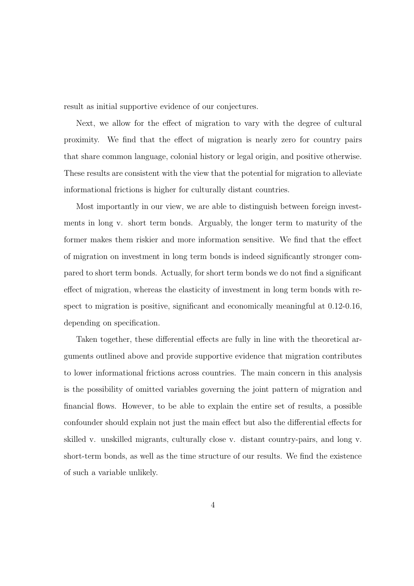result as initial supportive evidence of our conjectures.

Next, we allow for the effect of migration to vary with the degree of cultural proximity. We find that the effect of migration is nearly zero for country pairs that share common language, colonial history or legal origin, and positive otherwise. These results are consistent with the view that the potential for migration to alleviate informational frictions is higher for culturally distant countries.

Most importantly in our view, we are able to distinguish between foreign investments in long v. short term bonds. Arguably, the longer term to maturity of the former makes them riskier and more information sensitive. We find that the effect of migration on investment in long term bonds is indeed significantly stronger compared to short term bonds. Actually, for short term bonds we do not find a significant effect of migration, whereas the elasticity of investment in long term bonds with respect to migration is positive, significant and economically meaningful at 0.12-0.16, depending on specification.

Taken together, these differential effects are fully in line with the theoretical arguments outlined above and provide supportive evidence that migration contributes to lower informational frictions across countries. The main concern in this analysis is the possibility of omitted variables governing the joint pattern of migration and financial flows. However, to be able to explain the entire set of results, a possible confounder should explain not just the main effect but also the differential effects for skilled v. unskilled migrants, culturally close v. distant country-pairs, and long v. short-term bonds, as well as the time structure of our results. We find the existence of such a variable unlikely.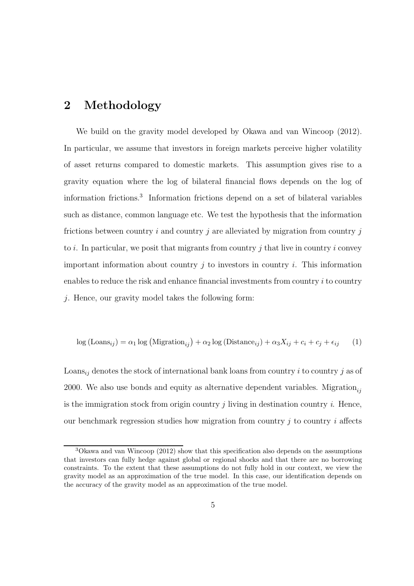### 2 Methodology

We build on the gravity model developed by Okawa and van Wincoop (2012). In particular, we assume that investors in foreign markets perceive higher volatility of asset returns compared to domestic markets. This assumption gives rise to a gravity equation where the log of bilateral financial flows depends on the log of information frictions.<sup>3</sup> Information frictions depend on a set of bilateral variables such as distance, common language etc. We test the hypothesis that the information frictions between country  $i$  and country  $j$  are alleviated by migration from country  $j$ to i. In particular, we posit that migrants from country j that live in country i convey important information about country  $i$  to investors in country  $i$ . This information enables to reduce the risk and enhance financial investments from country  $i$  to country j. Hence, our gravity model takes the following form:

$$
\log\left(\text{Loans}_{ij}\right) = \alpha_1 \log\left(\text{Migration}_{ij}\right) + \alpha_2 \log\left(\text{Distance}_{ij}\right) + \alpha_3 X_{ij} + c_i + c_j + \epsilon_{ij} \tag{1}
$$

Loans<sub>ij</sub> denotes the stock of international bank loans from country i to country j as of 2000. We also use bonds and equity as alternative dependent variables. Migration<sub>i</sub> is the immigration stock from origin country  $i$  living in destination country  $i$ . Hence, our benchmark regression studies how migration from country  $j$  to country  $i$  affects

<sup>3</sup>Okawa and van Wincoop (2012) show that this specification also depends on the assumptions that investors can fully hedge against global or regional shocks and that there are no borrowing constraints. To the extent that these assumptions do not fully hold in our context, we view the gravity model as an approximation of the true model. In this case, our identification depends on the accuracy of the gravity model as an approximation of the true model.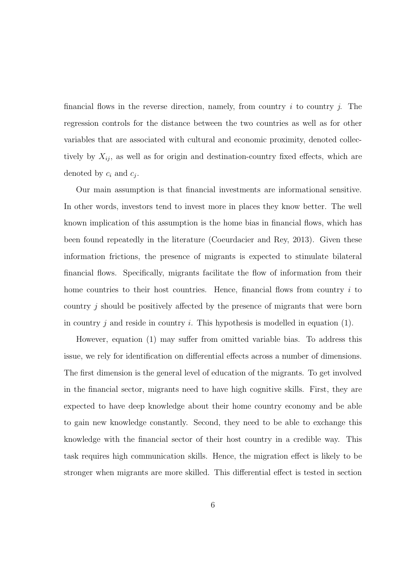financial flows in the reverse direction, namely, from country i to country i. The regression controls for the distance between the two countries as well as for other variables that are associated with cultural and economic proximity, denoted collectively by  $X_{ij}$ , as well as for origin and destination-country fixed effects, which are denoted by  $c_i$  and  $c_j$ .

Our main assumption is that financial investments are informational sensitive. In other words, investors tend to invest more in places they know better. The well known implication of this assumption is the home bias in financial flows, which has been found repeatedly in the literature (Coeurdacier and Rey, 2013). Given these information frictions, the presence of migrants is expected to stimulate bilateral financial flows. Specifically, migrants facilitate the flow of information from their home countries to their host countries. Hence, financial flows from country  $i$  to country j should be positively affected by the presence of migrants that were born in country  $j$  and reside in country  $i$ . This hypothesis is modelled in equation (1).

However, equation (1) may suffer from omitted variable bias. To address this issue, we rely for identification on differential effects across a number of dimensions. The first dimension is the general level of education of the migrants. To get involved in the financial sector, migrants need to have high cognitive skills. First, they are expected to have deep knowledge about their home country economy and be able to gain new knowledge constantly. Second, they need to be able to exchange this knowledge with the financial sector of their host country in a credible way. This task requires high communication skills. Hence, the migration effect is likely to be stronger when migrants are more skilled. This differential effect is tested in section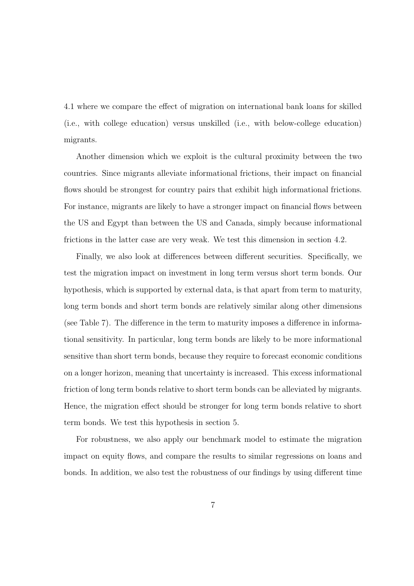4.1 where we compare the effect of migration on international bank loans for skilled (i.e., with college education) versus unskilled (i.e., with below-college education) migrants.

Another dimension which we exploit is the cultural proximity between the two countries. Since migrants alleviate informational frictions, their impact on financial flows should be strongest for country pairs that exhibit high informational frictions. For instance, migrants are likely to have a stronger impact on financial flows between the US and Egypt than between the US and Canada, simply because informational frictions in the latter case are very weak. We test this dimension in section 4.2.

Finally, we also look at differences between different securities. Specifically, we test the migration impact on investment in long term versus short term bonds. Our hypothesis, which is supported by external data, is that apart from term to maturity, long term bonds and short term bonds are relatively similar along other dimensions (see Table 7). The difference in the term to maturity imposes a difference in informational sensitivity. In particular, long term bonds are likely to be more informational sensitive than short term bonds, because they require to forecast economic conditions on a longer horizon, meaning that uncertainty is increased. This excess informational friction of long term bonds relative to short term bonds can be alleviated by migrants. Hence, the migration effect should be stronger for long term bonds relative to short term bonds. We test this hypothesis in section 5.

For robustness, we also apply our benchmark model to estimate the migration impact on equity flows, and compare the results to similar regressions on loans and bonds. In addition, we also test the robustness of our findings by using different time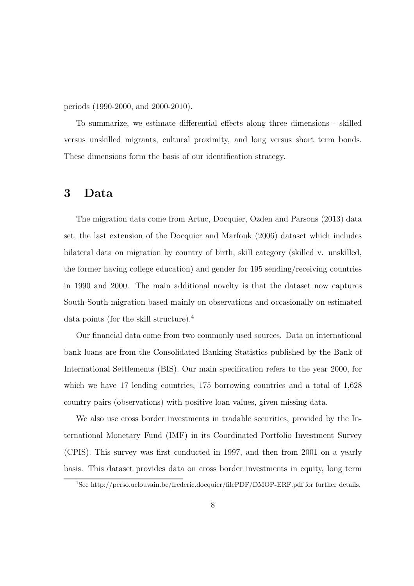periods (1990-2000, and 2000-2010).

To summarize, we estimate differential effects along three dimensions - skilled versus unskilled migrants, cultural proximity, and long versus short term bonds. These dimensions form the basis of our identification strategy.

#### 3 Data

The migration data come from Artuc, Docquier, Ozden and Parsons (2013) data set, the last extension of the Docquier and Marfouk (2006) dataset which includes bilateral data on migration by country of birth, skill category (skilled v. unskilled, the former having college education) and gender for 195 sending/receiving countries in 1990 and 2000. The main additional novelty is that the dataset now captures South-South migration based mainly on observations and occasionally on estimated data points (for the skill structure).<sup>4</sup>

Our financial data come from two commonly used sources. Data on international bank loans are from the Consolidated Banking Statistics published by the Bank of International Settlements (BIS). Our main specification refers to the year 2000, for which we have 17 lending countries, 175 borrowing countries and a total of 1,628 country pairs (observations) with positive loan values, given missing data.

We also use cross border investments in tradable securities, provided by the International Monetary Fund (IMF) in its Coordinated Portfolio Investment Survey (CPIS). This survey was first conducted in 1997, and then from 2001 on a yearly basis. This dataset provides data on cross border investments in equity, long term

<sup>4</sup>See http://perso.uclouvain.be/frederic.docquier/filePDF/DMOP-ERF.pdf for further details.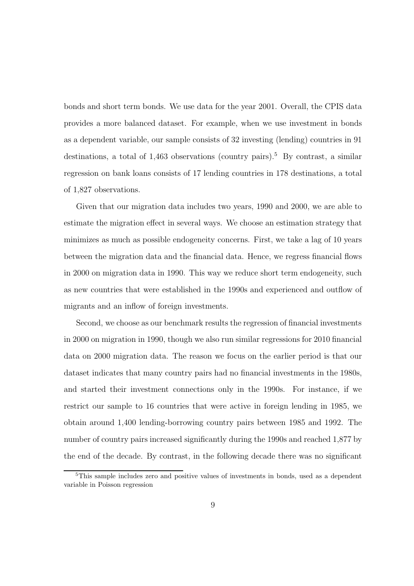bonds and short term bonds. We use data for the year 2001. Overall, the CPIS data provides a more balanced dataset. For example, when we use investment in bonds as a dependent variable, our sample consists of 32 investing (lending) countries in 91 destinations, a total of  $1,463$  observations (country pairs).<sup>5</sup> By contrast, a similar regression on bank loans consists of 17 lending countries in 178 destinations, a total of 1,827 observations.

Given that our migration data includes two years, 1990 and 2000, we are able to estimate the migration effect in several ways. We choose an estimation strategy that minimizes as much as possible endogeneity concerns. First, we take a lag of 10 years between the migration data and the financial data. Hence, we regress financial flows in 2000 on migration data in 1990. This way we reduce short term endogeneity, such as new countries that were established in the 1990s and experienced and outflow of migrants and an inflow of foreign investments.

Second, we choose as our benchmark results the regression of financial investments in 2000 on migration in 1990, though we also run similar regressions for 2010 financial data on 2000 migration data. The reason we focus on the earlier period is that our dataset indicates that many country pairs had no financial investments in the 1980s, and started their investment connections only in the 1990s. For instance, if we restrict our sample to 16 countries that were active in foreign lending in 1985, we obtain around 1,400 lending-borrowing country pairs between 1985 and 1992. The number of country pairs increased significantly during the 1990s and reached 1,877 by the end of the decade. By contrast, in the following decade there was no significant

<sup>5</sup>This sample includes zero and positive values of investments in bonds, used as a dependent variable in Poisson regression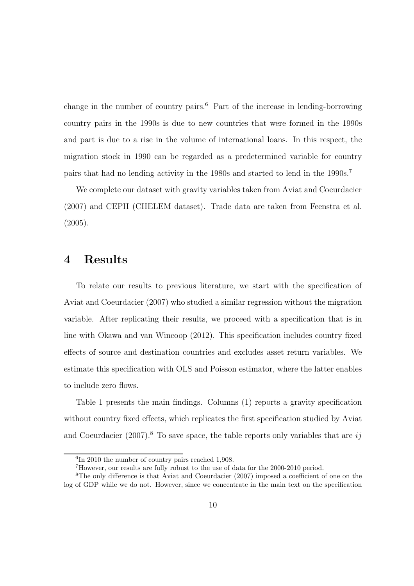change in the number of country pairs.<sup>6</sup> Part of the increase in lending-borrowing country pairs in the 1990s is due to new countries that were formed in the 1990s and part is due to a rise in the volume of international loans. In this respect, the migration stock in 1990 can be regarded as a predetermined variable for country pairs that had no lending activity in the 1980s and started to lend in the 1990s.<sup>7</sup>

We complete our dataset with gravity variables taken from Aviat and Coeurdacier (2007) and CEPII (CHELEM dataset). Trade data are taken from Feenstra et al.  $(2005).$ 

#### 4 Results

To relate our results to previous literature, we start with the specification of Aviat and Coeurdacier (2007) who studied a similar regression without the migration variable. After replicating their results, we proceed with a specification that is in line with Okawa and van Wincoop (2012). This specification includes country fixed effects of source and destination countries and excludes asset return variables. We estimate this specification with OLS and Poisson estimator, where the latter enables to include zero flows.

Table 1 presents the main findings. Columns (1) reports a gravity specification without country fixed effects, which replicates the first specification studied by Aviat and Coeurdacier  $(2007)^8$ . To save space, the table reports only variables that are ij

<sup>6</sup> In 2010 the number of country pairs reached 1,908.

<sup>7</sup>However, our results are fully robust to the use of data for the 2000-2010 period.

<sup>8</sup>The only difference is that Aviat and Coeurdacier (2007) imposed a coefficient of one on the log of GDP while we do not. However, since we concentrate in the main text on the specification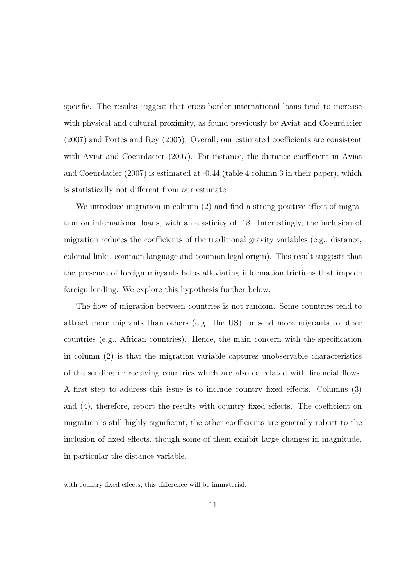specific. The results suggest that cross-border international loans tend to increase with physical and cultural proximity, as found previously by Aviat and Coeurdacier (2007) and Portes and Rey (2005). Overall, our estimated coefficients are consistent with Aviat and Coeurdacier (2007). For instance, the distance coefficient in Aviat and Coeurdacier (2007) is estimated at -0.44 (table 4 column 3 in their paper), which is statistically not different from our estimate.

We introduce migration in column (2) and find a strong positive effect of migration on international loans, with an elasticity of .18. Interestingly, the inclusion of migration reduces the coefficients of the traditional gravity variables (e.g., distance, colonial links, common language and common legal origin). This result suggests that the presence of foreign migrants helps alleviating information frictions that impede foreign lending. We explore this hypothesis further below.

The flow of migration between countries is not random. Some countries tend to attract more migrants than others (e.g., the US), or send more migrants to other countries (e.g., African countries). Hence, the main concern with the specification in column (2) is that the migration variable captures unobservable characteristics of the sending or receiving countries which are also correlated with financial flows. A first step to address this issue is to include country fixed effects. Columns (3) and (4), therefore, report the results with country fixed effects. The coefficient on migration is still highly significant; the other coefficients are generally robust to the inclusion of fixed effects, though some of them exhibit large changes in magnitude, in particular the distance variable.

with country fixed effects, this difference will be immaterial.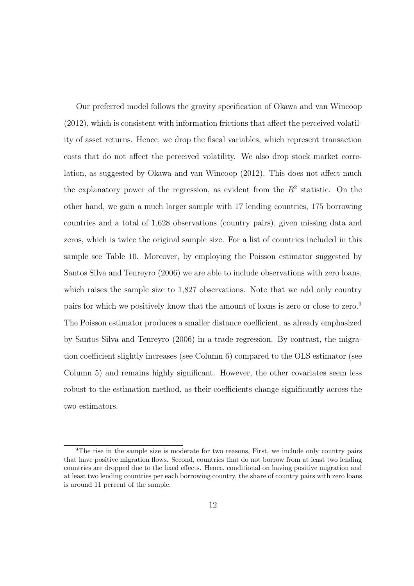Our preferred model follows the gravity specification of Okawa and van Wincoop (2012), which is consistent with information frictions that affect the perceived volatility of asset returns. Hence, we drop the fiscal variables, which represent transaction costs that do not affect the perceived volatility. We also drop stock market correlation, as suggested by Okawa and van Wincoop (2012). This does not affect much the explanatory power of the regression, as evident from the  $R^2$  statistic. On the other hand, we gain a much larger sample with 17 lending countries, 175 borrowing countries and a total of 1,628 observations (country pairs), given missing data and zeros, which is twice the original sample size. For a list of countries included in this sample see Table 10. Moreover, by employing the Poisson estimator suggested by Santos Silva and Tenreyro (2006) we are able to include observations with zero loans, which raises the sample size to 1,827 observations. Note that we add only country pairs for which we positively know that the amount of loans is zero or close to zero.<sup>9</sup> The Poisson estimator produces a smaller distance coefficient, as already emphasized by Santos Silva and Tenreyro (2006) in a trade regression. By contrast, the migration coefficient slightly increases (see Column 6) compared to the OLS estimator (see Column 5) and remains highly significant. However, the other covariates seem less robust to the estimation method, as their coefficients change significantly across the two estimators.

<sup>9</sup>The rise in the sample size is moderate for two reasons, First, we include only country pairs that have positive migration flows. Second, countries that do not borrow from at least two lending countries are dropped due to the fixed effects. Hence, conditional on having positive migration and at least two lending countries per each borrowing country, the share of country pairs with zero loans is around 11 percent of the sample.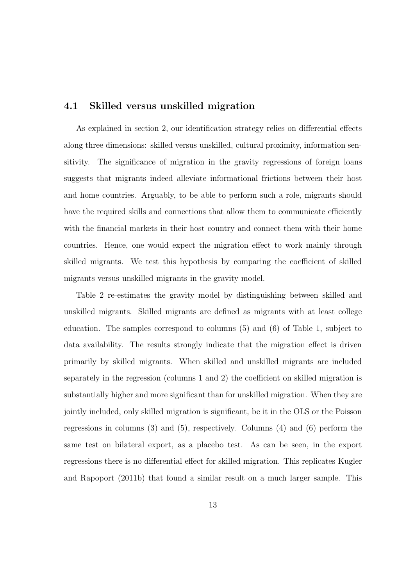#### 4.1 Skilled versus unskilled migration

As explained in section 2, our identification strategy relies on differential effects along three dimensions: skilled versus unskilled, cultural proximity, information sensitivity. The significance of migration in the gravity regressions of foreign loans suggests that migrants indeed alleviate informational frictions between their host and home countries. Arguably, to be able to perform such a role, migrants should have the required skills and connections that allow them to communicate efficiently with the financial markets in their host country and connect them with their home countries. Hence, one would expect the migration effect to work mainly through skilled migrants. We test this hypothesis by comparing the coefficient of skilled migrants versus unskilled migrants in the gravity model.

Table 2 re-estimates the gravity model by distinguishing between skilled and unskilled migrants. Skilled migrants are defined as migrants with at least college education. The samples correspond to columns (5) and (6) of Table 1, subject to data availability. The results strongly indicate that the migration effect is driven primarily by skilled migrants. When skilled and unskilled migrants are included separately in the regression (columns 1 and 2) the coefficient on skilled migration is substantially higher and more significant than for unskilled migration. When they are jointly included, only skilled migration is significant, be it in the OLS or the Poisson regressions in columns (3) and (5), respectively. Columns (4) and (6) perform the same test on bilateral export, as a placebo test. As can be seen, in the export regressions there is no differential effect for skilled migration. This replicates Kugler and Rapoport (2011b) that found a similar result on a much larger sample. This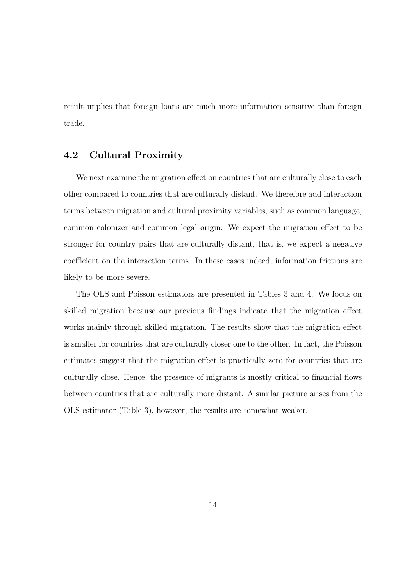result implies that foreign loans are much more information sensitive than foreign trade.

#### 4.2 Cultural Proximity

We next examine the migration effect on countries that are culturally close to each other compared to countries that are culturally distant. We therefore add interaction terms between migration and cultural proximity variables, such as common language, common colonizer and common legal origin. We expect the migration effect to be stronger for country pairs that are culturally distant, that is, we expect a negative coefficient on the interaction terms. In these cases indeed, information frictions are likely to be more severe.

The OLS and Poisson estimators are presented in Tables 3 and 4. We focus on skilled migration because our previous findings indicate that the migration effect works mainly through skilled migration. The results show that the migration effect is smaller for countries that are culturally closer one to the other. In fact, the Poisson estimates suggest that the migration effect is practically zero for countries that are culturally close. Hence, the presence of migrants is mostly critical to financial flows between countries that are culturally more distant. A similar picture arises from the OLS estimator (Table 3), however, the results are somewhat weaker.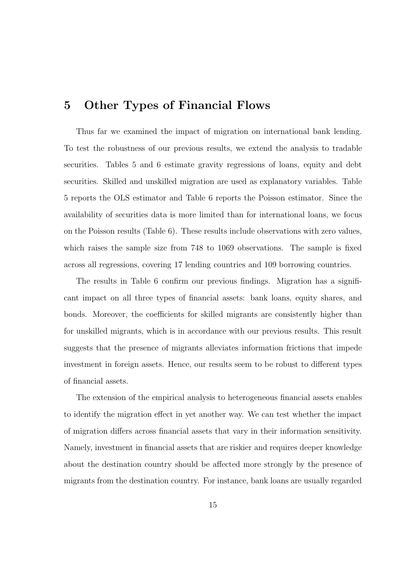### 5 Other Types of Financial Flows

Thus far we examined the impact of migration on international bank lending. To test the robustness of our previous results, we extend the analysis to tradable securities. Tables 5 and 6 estimate gravity regressions of loans, equity and debt securities. Skilled and unskilled migration are used as explanatory variables. Table 5 reports the OLS estimator and Table 6 reports the Poisson estimator. Since the availability of securities data is more limited than for international loans, we focus on the Poisson results (Table 6). These results include observations with zero values, which raises the sample size from 748 to 1069 observations. The sample is fixed across all regressions, covering 17 lending countries and 109 borrowing countries.

The results in Table 6 confirm our previous findings. Migration has a significant impact on all three types of financial assets: bank loans, equity shares, and bonds. Moreover, the coefficients for skilled migrants are consistently higher than for unskilled migrants, which is in accordance with our previous results. This result suggests that the presence of migrants alleviates information frictions that impede investment in foreign assets. Hence, our results seem to be robust to different types of financial assets.

The extension of the empirical analysis to heterogeneous financial assets enables to identify the migration effect in yet another way. We can test whether the impact of migration differs across financial assets that vary in their information sensitivity. Namely, investment in financial assets that are riskier and requires deeper knowledge about the destination country should be affected more strongly by the presence of migrants from the destination country. For instance, bank loans are usually regarded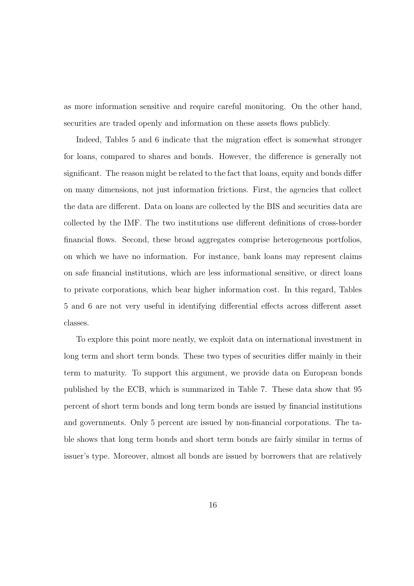as more information sensitive and require careful monitoring. On the other hand, securities are traded openly and information on these assets flows publicly.

Indeed, Tables 5 and 6 indicate that the migration effect is somewhat stronger for loans, compared to shares and bonds. However, the difference is generally not significant. The reason might be related to the fact that loans, equity and bonds differ on many dimensions, not just information frictions. First, the agencies that collect the data are different. Data on loans are collected by the BIS and securities data are collected by the IMF. The two institutions use different definitions of cross-border financial flows. Second, these broad aggregates comprise heterogeneous portfolios, on which we have no information. For instance, bank loans may represent claims on safe financial institutions, which are less informational sensitive, or direct loans to private corporations, which bear higher information cost. In this regard, Tables 5 and 6 are not very useful in identifying differential effects across different asset classes.

To explore this point more neatly, we exploit data on international investment in long term and short term bonds. These two types of securities differ mainly in their term to maturity. To support this argument, we provide data on European bonds published by the ECB, which is summarized in Table 7. These data show that 95 percent of short term bonds and long term bonds are issued by financial institutions and governments. Only 5 percent are issued by non-financial corporations. The table shows that long term bonds and short term bonds are fairly similar in terms of issuer's type. Moreover, almost all bonds are issued by borrowers that are relatively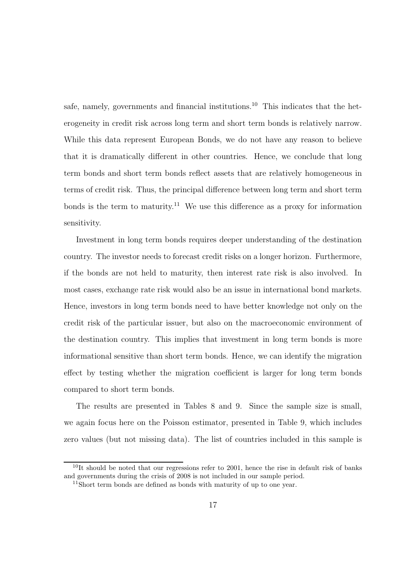safe, namely, governments and financial institutions.<sup>10</sup> This indicates that the heterogeneity in credit risk across long term and short term bonds is relatively narrow. While this data represent European Bonds, we do not have any reason to believe that it is dramatically different in other countries. Hence, we conclude that long term bonds and short term bonds reflect assets that are relatively homogeneous in terms of credit risk. Thus, the principal difference between long term and short term bonds is the term to maturity.<sup>11</sup> We use this difference as a proxy for information sensitivity.

Investment in long term bonds requires deeper understanding of the destination country. The investor needs to forecast credit risks on a longer horizon. Furthermore, if the bonds are not held to maturity, then interest rate risk is also involved. In most cases, exchange rate risk would also be an issue in international bond markets. Hence, investors in long term bonds need to have better knowledge not only on the credit risk of the particular issuer, but also on the macroeconomic environment of the destination country. This implies that investment in long term bonds is more informational sensitive than short term bonds. Hence, we can identify the migration effect by testing whether the migration coefficient is larger for long term bonds compared to short term bonds.

The results are presented in Tables 8 and 9. Since the sample size is small, we again focus here on the Poisson estimator, presented in Table 9, which includes zero values (but not missing data). The list of countries included in this sample is

 $10$ It should be noted that our regressions refer to 2001, hence the rise in default risk of banks and governments during the crisis of 2008 is not included in our sample period.

 $11$ Short term bonds are defined as bonds with maturity of up to one year.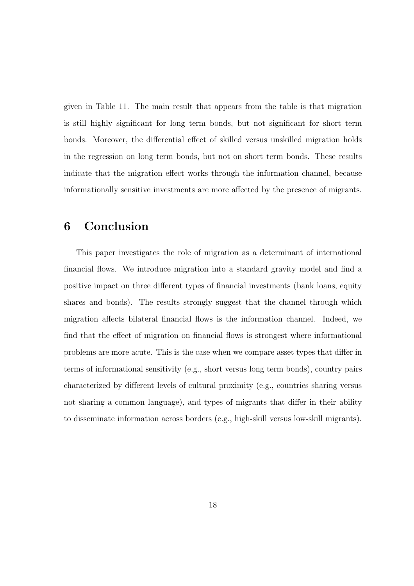given in Table 11. The main result that appears from the table is that migration is still highly significant for long term bonds, but not significant for short term bonds. Moreover, the differential effect of skilled versus unskilled migration holds in the regression on long term bonds, but not on short term bonds. These results indicate that the migration effect works through the information channel, because informationally sensitive investments are more affected by the presence of migrants.

### 6 Conclusion

This paper investigates the role of migration as a determinant of international financial flows. We introduce migration into a standard gravity model and find a positive impact on three different types of financial investments (bank loans, equity shares and bonds). The results strongly suggest that the channel through which migration affects bilateral financial flows is the information channel. Indeed, we find that the effect of migration on financial flows is strongest where informational problems are more acute. This is the case when we compare asset types that differ in terms of informational sensitivity (e.g., short versus long term bonds), country pairs characterized by different levels of cultural proximity (e.g., countries sharing versus not sharing a common language), and types of migrants that differ in their ability to disseminate information across borders (e.g., high-skill versus low-skill migrants).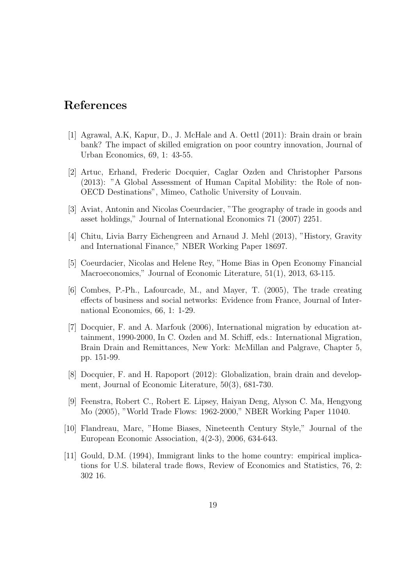### References

- [1] Agrawal, A.K, Kapur, D., J. McHale and A. Oettl (2011): Brain drain or brain bank? The impact of skilled emigration on poor country innovation, Journal of Urban Economics, 69, 1: 43-55.
- [2] Artuc, Erhand, Frederic Docquier, Caglar Ozden and Christopher Parsons (2013): "A Global Assessment of Human Capital Mobility: the Role of non-OECD Destinations", Mimeo, Catholic University of Louvain.
- [3] Aviat, Antonin and Nicolas Coeurdacier, "The geography of trade in goods and asset holdings," Journal of International Economics 71 (2007) 2251.
- [4] Chitu, Livia Barry Eichengreen and Arnaud J. Mehl (2013), "History, Gravity and International Finance," NBER Working Paper 18697.
- [5] Coeurdacier, Nicolas and Helene Rey, "Home Bias in Open Economy Financial Macroeconomics," Journal of Economic Literature, 51(1), 2013, 63-115.
- [6] Combes, P.-Ph., Lafourcade, M., and Mayer, T. (2005), The trade creating effects of business and social networks: Evidence from France, Journal of International Economics, 66, 1: 1-29.
- [7] Docquier, F. and A. Marfouk (2006), International migration by education attainment, 1990-2000, In C. Ozden and M. Schiff, eds.: International Migration, Brain Drain and Remittances, New York: McMillan and Palgrave, Chapter 5, pp. 151-99.
- [8] Docquier, F. and H. Rapoport (2012): Globalization, brain drain and development, Journal of Economic Literature, 50(3), 681-730.
- [9] Feenstra, Robert C., Robert E. Lipsey, Haiyan Deng, Alyson C. Ma, Hengyong Mo (2005), "World Trade Flows: 1962-2000," NBER Working Paper 11040.
- [10] Flandreau, Marc, "Home Biases, Nineteenth Century Style," Journal of the European Economic Association, 4(2-3), 2006, 634-643.
- [11] Gould, D.M. (1994), Immigrant links to the home country: empirical implications for U.S. bilateral trade flows, Review of Economics and Statistics, 76, 2: 302 16.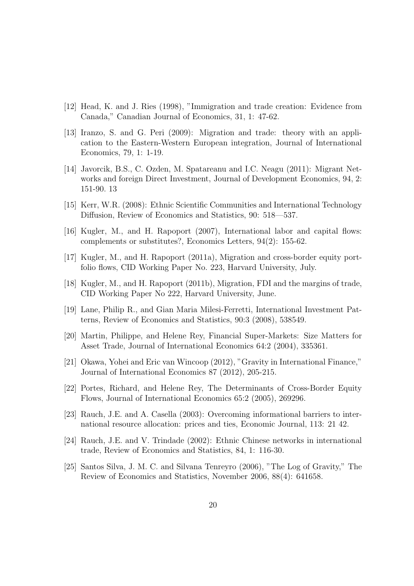- [12] Head, K. and J. Ries (1998), "Immigration and trade creation: Evidence from Canada," Canadian Journal of Economics, 31, 1: 47-62.
- [13] Iranzo, S. and G. Peri (2009): Migration and trade: theory with an application to the Eastern-Western European integration, Journal of International Economics, 79, 1: 1-19.
- [14] Javorcik, B.S., C. Ozden, M. Spatareanu and I.C. Neagu (2011): Migrant Networks and foreign Direct Investment, Journal of Development Economics, 94, 2: 151-90. 13
- [15] Kerr, W.R. (2008): Ethnic Scientific Communities and International Technology Diffusion, Review of Economics and Statistics, 90: 518—537.
- [16] Kugler, M., and H. Rapoport (2007), International labor and capital flows: complements or substitutes?, Economics Letters, 94(2): 155-62.
- [17] Kugler, M., and H. Rapoport (2011a), Migration and cross-border equity portfolio flows, CID Working Paper No. 223, Harvard University, July.
- [18] Kugler, M., and H. Rapoport (2011b), Migration, FDI and the margins of trade, CID Working Paper No 222, Harvard University, June.
- [19] Lane, Philip R., and Gian Maria Milesi-Ferretti, International Investment Patterns, Review of Economics and Statistics, 90:3 (2008), 538549.
- [20] Martin, Philippe, and Helene Rey, Financial Super-Markets: Size Matters for Asset Trade, Journal of International Economics 64:2 (2004), 335361.
- [21] Okawa, Yohei and Eric van Wincoop (2012), "Gravity in International Finance," Journal of International Economics 87 (2012), 205-215.
- [22] Portes, Richard, and Helene Rey, The Determinants of Cross-Border Equity Flows, Journal of International Economics 65:2 (2005), 269296.
- [23] Rauch, J.E. and A. Casella (2003): Overcoming informational barriers to international resource allocation: prices and ties, Economic Journal, 113: 21 42.
- [24] Rauch, J.E. and V. Trindade (2002): Ethnic Chinese networks in international trade, Review of Economics and Statistics, 84, 1: 116-30.
- [25] Santos Silva, J. M. C. and Silvana Tenreyro (2006), "The Log of Gravity," The Review of Economics and Statistics, November 2006, 88(4): 641658.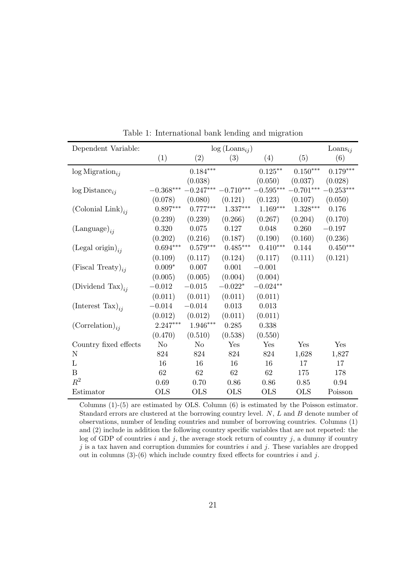| Dependent Variable:           | $log (Loans_{ij})$      |                 |                 |             |                 | $\text{Loans}_{ij}$ |
|-------------------------------|-------------------------|-----------------|-----------------|-------------|-----------------|---------------------|
|                               | (1)                     | (2)             | (3)             | (4)         | (5)             | (6)                 |
| $log$ Migration <sub>ii</sub> |                         | $0.184^{***}\,$ |                 | $0.125***$  | $0.150^{***}\,$ | $0.179***$          |
|                               |                         | (0.038)         |                 | (0.050)     | (0.037)         | (0.028)             |
| $log Distance_{ij}$           | $-0.368^{\ast\ast\ast}$ | $-0.247***$     | $-0.710***$     | $-0.595***$ | $-0.701***$     | $-0.253***$         |
|                               | (0.078)                 | (0.080)         | (0.121)         | (0.123)     | (0.107)         | (0.050)             |
| (Colonial Link) <sub>ii</sub> | $0.897***$              | $0.777***$      | $1.337^{***}\,$ | $1.169***$  | $1.328***$      | 0.176               |
|                               | (0.239)                 | (0.239)         | (0.266)         | (0.267)     | (0.204)         | (0.170)             |
| $(Language)_{ii}$             | 0.320                   | 0.075           | $0.127\,$       | 0.048       | 0.260           | $-0.197$            |
|                               | (0.202)                 | (0.216)         | (0.187)         | (0.190)     | (0.160)         | (0.236)             |
| (Legal origin) <sub>ii</sub>  | $0.694***$              | $0.579***$      | $0.485***$      | $0.410***$  | 0.144           | $0.450***$          |
|                               | (0.109)                 | (0.117)         | (0.124)         | (0.117)     | (0.111)         | (0.121)             |
| (Fiscal Treaty) <sub>ii</sub> | $0.009*$                | 0.007           | 0.001           | $-0.001$    |                 |                     |
|                               | (0.005)                 | (0.005)         | (0.004)         | (0.004)     |                 |                     |
| (Dividend Tax) <sub>ii</sub>  | $-0.012$                | $-0.015$        | $-0.022*$       | $-0.024**$  |                 |                     |
|                               | (0.011)                 | (0.011)         | (0.011)         | (0.011)     |                 |                     |
| (Interest Tax) <sub>ii</sub>  | $-0.014$                | $-0.014$        | 0.013           | 0.013       |                 |                     |
|                               | (0.012)                 | (0.012)         | (0.011)         | (0.011)     |                 |                     |
| $(Correlation)_{ii}$          | 2.247***                | $1.946***$      | 0.285           | 0.338       |                 |                     |
|                               | (0.470)                 | (0.510)         | (0.538)         | (0.550)     |                 |                     |
| Country fixed effects         | N <sub>o</sub>          | No              | Yes             | Yes         | Yes             | Yes                 |
| $\mathbf N$                   | 824                     | 824             | 824             | 824         | 1,628           | 1,827               |
| $\mathbf{L}$                  | 16                      | 16              | 16              | 16          | 17              | 17                  |
| B                             | 62                      | 62              | 62              | 62          | 175             | 178                 |
| $R^2$                         | 0.69                    | 0.70            | 0.86            | 0.86        | 0.85            | 0.94                |
| Estimator                     | <b>OLS</b>              | <b>OLS</b>      | <b>OLS</b>      | <b>OLS</b>  | <b>OLS</b>      | Poisson             |

Table 1: International bank lending and migration

Columns (1)-(5) are estimated by OLS. Column (6) is estimated by the Poisson estimator. Standard errors are clustered at the borrowing country level. N, L and B denote number of observations, number of lending countries and number of borrowing countries. Columns (1) and (2) include in addition the following country specific variables that are not reported: the log of GDP of countries  $i$  and  $j$ , the average stock return of country  $j$ , a dummy if country  $j$  is a tax haven and corruption dummies for countries  $i$  and  $j$ . These variables are dropped out in columns  $(3)-(6)$  which include country fixed effects for countries i and j.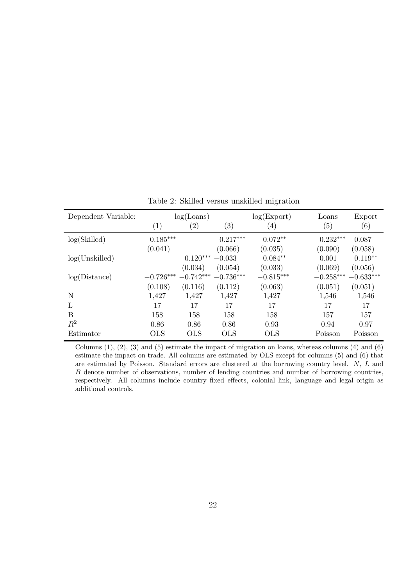| Dependent Variable: |                   | log(Loans)        |                   | log(Expert)      | Loans             | Export      |
|---------------------|-------------------|-------------------|-------------------|------------------|-------------------|-------------|
|                     | $\left( 1\right)$ | $\left( 2\right)$ | $\left( 3\right)$ | $\left(4\right)$ | $\left( 5\right)$ | (6)         |
| log(Skilled)        | $0.185***$        |                   | $0.217***$        | $0.072**$        | $0.232***$        | 0.087       |
|                     | (0.041)           |                   | (0.066)           | (0.035)          | (0.090)           | (0.058)     |
| log(Unskilled)      |                   | $0.120***$        | $-0.033$          | $0.084**$        | 0.001             | $0.119**$   |
|                     |                   | (0.034)           | (0.054)           | (0.033)          | (0.069)           | (0.056)     |
| log(Distance)       | $-0.726***$       | $-0.742***$       | $-0.736***$       | $-0.815***$      | $-0.258***$       | $-0.633***$ |
|                     | (0.108)           | (0.116)           | (0.112)           | (0.063)          | (0.051)           | (0.051)     |
| N                   | 1,427             | 1,427             | 1,427             | 1,427            | 1,546             | 1,546       |
| L                   | 17                | 17                | 17                | 17               | 17                | 17          |
| B                   | 158               | 158               | 158               | 158              | 157               | 157         |
| $\mathbb{R}^2$      | 0.86              | 0.86              | 0.86              | 0.93             | 0.94              | 0.97        |
| Estimator           | <b>OLS</b>        | <b>OLS</b>        | <b>OLS</b>        | <b>OLS</b>       | Poisson           | Poisson     |

Table 2: Skilled versus unskilled migration

Columns  $(1)$ ,  $(2)$ ,  $(3)$  and  $(5)$  estimate the impact of migration on loans, whereas columns  $(4)$  and  $(6)$ estimate the impact on trade. All columns are estimated by OLS except for columns (5) and (6) that are estimated by Poisson. Standard errors are clustered at the borrowing country level. N, L and B denote number of observations, number of lending countries and number of borrowing countries, respectively. All columns include country fixed effects, colonial link, language and legal origin as additional controls.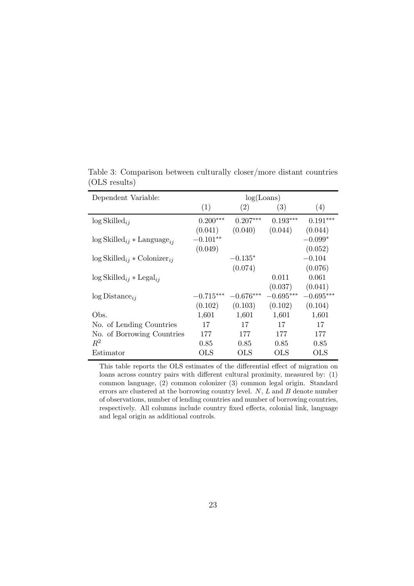| Dependent Variable:                                    | log(Loans)  |             |              |              |  |  |
|--------------------------------------------------------|-------------|-------------|--------------|--------------|--|--|
|                                                        | (1)         | (2)         | (3)          | (4)          |  |  |
| $\log$ Skilled <sub>ij</sub>                           | $0.200***$  | $0.207***$  | $0.193***$   | $0.191***$   |  |  |
|                                                        | (0.041)     | (0.040)     | (0.044)      | (0.044)      |  |  |
| $\log$ Skilled <sub>ij</sub> * Language <sub>ij</sub>  | $-0.101**$  |             |              | $-0.099*$    |  |  |
|                                                        | (0.049)     |             |              | (0.052)      |  |  |
| $\log$ Skilled <sub>ij</sub> * Colonizer <sub>ij</sub> |             | $-0.135*$   |              | $-0.104$     |  |  |
|                                                        |             | (0.074)     |              | (0.076)      |  |  |
| $\log$ Skilled <sub>ij</sub> * Legal <sub>ij</sub>     |             |             | 0.011        | 0.061        |  |  |
|                                                        |             |             | (0.037)      | (0.041)      |  |  |
| $log Distance_{ii}$                                    | $-0.715***$ | $-0.676***$ | $-0.695***$  | $-0.695***$  |  |  |
|                                                        | (0.102)     | (0.103)     | (0.102)      | (0.104)      |  |  |
| Obs.                                                   | 1,601       | 1,601       | 1,601        | 1,601        |  |  |
| No. of Lending Countries                               | 17          | 17          | 17           | 17           |  |  |
| No. of Borrowing Countries                             | 177         | 177         | 177          | 177          |  |  |
| $R^2$                                                  | 0.85        | 0.85        | 0.85         | 0.85         |  |  |
| Estimator                                              | OLS         | OLS         | $_{\rm OLS}$ | $_{\rm OLS}$ |  |  |

Table 3: Comparison between culturally closer/more distant countries (OLS results)

This table reports the OLS estimates of the differential effect of migration on loans across country pairs with different cultural proximity, measured by: (1) common language, (2) common colonizer (3) common legal origin. Standard errors are clustered at the borrowing country level.  $N$ ,  $L$  and  $B$  denote number of observations, number of lending countries and number of borrowing countries, respectively. All columns include country fixed effects, colonial link, language and legal origin as additional controls.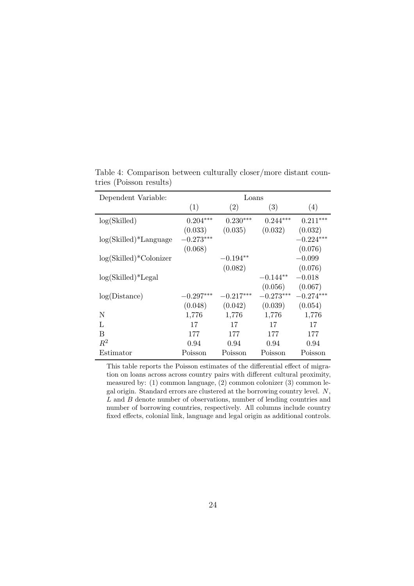| Dependent Variable:       | Loans       |             |             |             |
|---------------------------|-------------|-------------|-------------|-------------|
|                           | (1)         | (2)         | (3)         | (4)         |
| log(Skilled)              | $0.204***$  | $0.230***$  | $0.244***$  | $0.211***$  |
|                           | (0.033)     | (0.035)     | (0.032)     | (0.032)     |
| $log(Skilled)*Language$   | $-0.273***$ |             |             | $-0.224***$ |
|                           | (0.068)     |             |             | (0.076)     |
| $log(Skilled)*$ Colonizer |             | $-0.194**$  |             | $-0.099$    |
|                           |             | (0.082)     |             | (0.076)     |
| $log(Skilled)*Legal$      |             |             | $-0.144**$  | $-0.018$    |
|                           |             |             | (0.056)     | (0.067)     |
| log(Distance)             | $-0.297***$ | $-0.217***$ | $-0.273***$ | $-0.274***$ |
|                           | (0.048)     | (0.042)     | (0.039)     | (0.054)     |
| N                         | 1,776       | 1,776       | 1,776       | 1,776       |
| L                         | 17          | 17          | 17          | 17          |
| В                         | 177         | 177         | 177         | 177         |
| $R^2$                     | 0.94        | 0.94        | 0.94        | 0.94        |
| Estimator                 | Poisson     | Poisson     | Poisson     | Poisson     |

Table 4: Comparison between culturally closer/more distant countries (Poisson results)

This table reports the Poisson estimates of the differential effect of migration on loans across across country pairs with different cultural proximity, measured by: (1) common language, (2) common colonizer (3) common legal origin. Standard errors are clustered at the borrowing country level. N, L and B denote number of observations, number of lending countries and number of borrowing countries, respectively. All columns include country fixed effects, colonial link, language and legal origin as additional controls.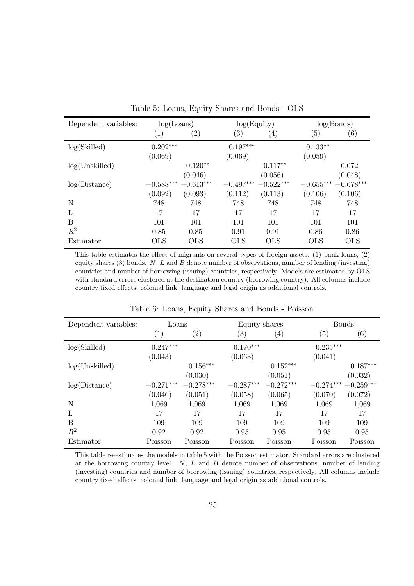| Dependent variables: | log(Loans)        |                   |                   | $log($ Equity $)$ |             | log(Bonds)  |  |
|----------------------|-------------------|-------------------|-------------------|-------------------|-------------|-------------|--|
|                      | $\left( 1\right)$ | $\left( 2\right)$ | $\left( 3\right)$ | $\left( 4\right)$ | (5)         | (6)         |  |
| log(Skilled)         | $0.202***$        |                   | $0.197***$        |                   | $0.133**$   |             |  |
|                      | (0.069)           |                   | (0.069)           |                   | (0.059)     |             |  |
| log(Unskilled)       |                   | $0.120**$         |                   | $0.117**$         |             | 0.072       |  |
|                      |                   | (0.046)           |                   | (0.056)           |             | (0.048)     |  |
| log(Distance)        | $-0.588***$       | $-0.613***$       | $-0.497***$       | $-0.522***$       | $-0.655***$ | $-0.678***$ |  |
|                      | (0.092)           | (0.093)           | (0.112)           | (0.113)           | (0.106)     | (0.106)     |  |
| N                    | 748               | 748               | 748               | 748               | 748         | 748         |  |
| L                    | 17                | 17                | 17                | 17                | 17          | 17          |  |
| B                    | 101               | 101               | 101               | 101               | 101         | 101         |  |
| $R^2$                | 0.85              | 0.85              | 0.91              | 0.91              | 0.86        | 0.86        |  |
| Estimator            | <b>OLS</b>        | <b>OLS</b>        | <b>OLS</b>        | <b>OLS</b>        | <b>OLS</b>  | <b>OLS</b>  |  |

Table 5: Loans, Equity Shares and Bonds - OLS

This table estimates the effect of migrants on several types of foreign assets: (1) bank loans, (2) equity shares  $(3)$  bonds. N, L and B denote number of observations, number of lending (investing) countries and number of borrowing (issuing) countries, respectively. Models are estimated by OLS with standard errors clustered at the destination country (borrowing country). All columns include country fixed effects, colonial link, language and legal origin as additional controls.

| Dependent variables: | Loans             |                   | Equity shares     |                   | <b>Bonds</b>      |             |
|----------------------|-------------------|-------------------|-------------------|-------------------|-------------------|-------------|
|                      | $\left( 1\right)$ | $\left( 2\right)$ | $\left( 3\right)$ | $\left( 4\right)$ | $\left( 5\right)$ | (6)         |
| log(Skilled)         | $0.247***$        |                   | $0.170***$        |                   | $0.235***$        |             |
|                      | (0.043)           |                   | (0.063)           |                   | (0.041)           |             |
| log(Unskilled)       |                   | $0.156***$        |                   | $0.152***$        |                   | $0.187***$  |
|                      |                   | (0.030)           |                   | (0.051)           |                   | (0.032)     |
| log(Distance)        | $-0.271***$       | $-0.278***$       | $-0.287***$       | $-0.272***$       | $-0.274***$       | $-0.259***$ |
|                      | (0.046)           | (0.051)           | (0.058)           | (0.065)           | (0.070)           | (0.072)     |
| N                    | 1,069             | 1,069             | 1,069             | 1,069             | 1,069             | 1,069       |
| L                    | 17                | 17                | 17                | 17                | 17                | 17          |
| B                    | 109               | 109               | 109               | 109               | 109               | 109         |
| $R^2$                | 0.92              | 0.92              | 0.95              | 0.95              | 0.95              | 0.95        |
| Estimator            | Poisson           | Poisson           | Poisson           | Poisson           | Poisson           | Poisson     |

Table 6: Loans, Equity Shares and Bonds - Poisson

This table re-estimates the models in table 5 with the Poisson estimator. Standard errors are clustered at the borrowing country level.  $N$ ,  $L$  and  $B$  denote number of observations, number of lending (investing) countries and number of borrowing (issuing) countries, respectively. All columns include country fixed effects, colonial link, language and legal origin as additional controls.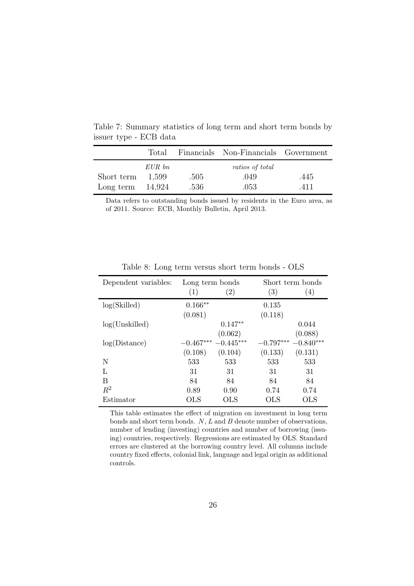|            |        |      | Total Financials Non-Financials Government |      |
|------------|--------|------|--------------------------------------------|------|
|            | EUR bn |      | ratios of total                            |      |
| Short term | 1.599  | .505 | .049                                       | .445 |
| Long term  | 14,924 | -536 | .053                                       | 411  |

Table 7: Summary statistics of long term and short term bonds by issuer type - ECB data

Data refers to outstanding bonds issued by residents in the Euro area, as of 2011. Source: ECB, Monthly Bulletin, April 2013.

| Dependent variables: | Long term bonds |                   |             | Short term bonds |
|----------------------|-----------------|-------------------|-------------|------------------|
|                      | (1)             | $\left( 2\right)$ | (3)         | (4)              |
| log(Skilled)         | $0.166**$       |                   | 0.135       |                  |
|                      | (0.081)         |                   | (0.118)     |                  |
| log(Unskilled)       |                 | $0.147**$         |             | 0.044            |
|                      |                 | (0.062)           |             | (0.088)          |
| log(Distance)        | $-0.467***$     | $-0.445***$       | $-0.797***$ | $-0.840***$      |
|                      | (0.108)         | (0.104)           | (0.133)     | (0.131)          |
| N                    | 533             | 533               | 533         | 533              |
| Τ.                   | 31              | 31                | 31          | 31               |
| В                    | 84              | 84                | 84          | 84               |
| $R^2$                | 0.89            | 0.90              | 0.74        | 0.74             |
| Estimator            | OLS             | OLS               | OLS         | $_{\rm OLS}$     |

Table 8: Long term versus short term bonds - OLS

This table estimates the effect of migration on investment in long term bonds and short term bonds.  $N$ ,  $L$  and  $B$  denote number of observations, number of lending (investing) countries and number of borrowing (issuing) countries, respectively. Regressions are estimated by OLS. Standard errors are clustered at the borrowing country level. All columns include country fixed effects, colonial link, language and legal origin as additional controls.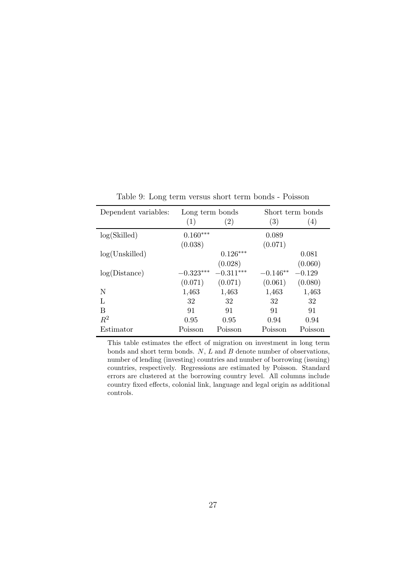| Dependent variables: | Long term bonds |                   |                   | Short term bonds |
|----------------------|-----------------|-------------------|-------------------|------------------|
|                      | (1)             | $\left( 2\right)$ | $\left( 3\right)$ | (4)              |
| log(Skilled)         | $0.160***$      |                   | 0.089             |                  |
|                      | (0.038)         |                   | (0.071)           |                  |
| log(Unskilled)       |                 | $0.126***$        |                   | 0.081            |
|                      |                 | (0.028)           |                   | (0.060)          |
| log(Distance)        | $-0.323***$     | $-0.311***$       | $-0.146**$        | $-0.129$         |
|                      | (0.071)         | (0.071)           | (0.061)           | (0.080)          |
| N                    | 1,463           | 1,463             | 1,463             | 1,463            |
| Τ.                   | 32              | 32                | 32                | 32               |
| В                    | 91              | 91                | 91                | 91               |
| $R^2$                | 0.95            | 0.95              | 0.94              | 0.94             |
| Estimator            | Poisson         | Poisson           | Poisson           | Poisson          |

Table 9: Long term versus short term bonds - Poisson

l,

This table estimates the effect of migration on investment in long term bonds and short term bonds.  $N$ ,  $L$  and  $B$  denote number of observations, number of lending (investing) countries and number of borrowing (issuing) countries, respectively. Regressions are estimated by Poisson. Standard errors are clustered at the borrowing country level. All columns include country fixed effects, colonial link, language and legal origin as additional controls.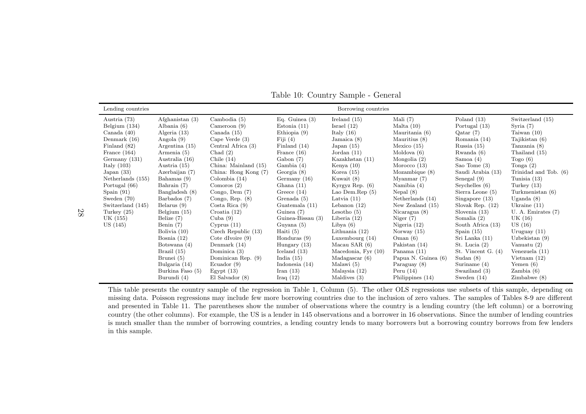| Lending countries |                   |                       |                   | Borrowing countries |                     |                      |                       |
|-------------------|-------------------|-----------------------|-------------------|---------------------|---------------------|----------------------|-----------------------|
| Austria (73)      | Afghanistan $(3)$ | Cambodia $(5)$        | Eq. Guinea $(3)$  | Ireland $(15)$      | Mali $(7)$          | Poland $(13)$        | Switzerland (15)      |
| Belgium $(134)$   | Albania $(6)$     | Cameroon $(9)$        | Estonia $(11)$    | Israel $(12)$       | Malta $(10)$        | Portugal (13)        | Syria $(7)$           |
| Canada $(40)$     | Algeria (13)      | Canada $(15)$         | Ethiopia $(9)$    | Italy $(16)$        | Mauritania (6)      | Qatar(7)             | Taiwan $(10)$         |
| Denmark $(16)$    | Angola $(9)$      | Cape Verde $(3)$      | Fiji $(4)$        | Jamaica $(8)$       | Mauritius (8)       | Romania (14)         | Tajikistan (6)        |
| Finland (82)      | Argentina $(15)$  | Central Africa (3)    | Finland $(14)$    | Japan $(15)$        | Mexico $(15)$       | Russia $(15)$        | Tanzania (8)          |
| France $(164)$    | Armenia (5)       | Chad $(2)$            | France $(16)$     | Jordan $(11)$       | Moldova $(6)$       | Rwanda $(6)$         | Thailand (15)         |
| Germany $(131)$   | Australia (16)    | Chile $(14)$          | Gabon(7)          | Kazakhstan (11)     | Mongolia $(2)$      | Samoa $(4)$          | Togo $(6)$            |
| Italy $(103)$     | Austria $(15)$    | China: Mainland (15)  | Gambia $(4)$      | Kenya $(10)$        | Morocco $(13)$      | Sao Tome $(3)$       | Tonga $(2)$           |
| Japan $(33)$      | Azerbaijan (7)    | China: Hong Kong (7)  | Georgia $(8)$     | Korea $(15)$        | Mozambique $(8)$    | Saudi Arabia (13)    | Trinidad and Tob. (6) |
| Netherlands (155) | Bahamas (9)       | Colombia $(14)$       | Germany $(16)$    | Kuwait (8)          | Myanmar $(7)$       | Senegal $(9)$        | Tunisia $(13)$        |
| Portugal (66)     | Bahrain (7)       | Comoros $(2)$         | Ghana $(11)$      | Kyrgyz Rep. $(6)$   | Namibia $(4)$       | Seychelles $(6)$     | Turkey $(13)$         |
| Spain $(91)$      | Bangladesh (8)    | Congo, Dem $(7)$      | Greece $(14)$     | Lao Dem.Rep $(5)$   | Nepal $(8)$         | Sierra Leone (5)     | Turkmenistan (6)      |
| Sweden $(70)$     | Barbados (7)      | Congo, Rep. $(8)$     | Grenada (5)       | Latvia $(11)$       | Netherlands $(14)$  | Singapore $(13)$     | Uganda $(8)$          |
| Switzerland (145) | Belarus $(9)$     | Costa Rica $(9)$      | Guatemala (11)    | Lebanon $(12)$      | New Zealand $(15)$  | Slovak Rep. $(12)$   | Ukraine $(11)$        |
| Turkey $(25)$     | Belgium $(15)$    | Croatia $(12)$        | Guinea $(7)$      | Lesotho $(5)$       | Nicaragua $(8)$     | Slovenia $(13)$      | U. A. Emitates (7)    |
| UK (155)          | Belize (7)        | Cuba $(9)$            | Guinea-Bissau (3) | Liberia $(12)$      | Niger $(7)$         | Somalia $(2)$        | UK $(16)$             |
| US (145)          | Benin $(7)$       | Cyprus(11)            | Guyana (5)        | Libya $(6)$         | Nigeria $(12)$      | South Africa (13)    | US(16)                |
|                   | Bolivia $(10)$    | Czech Republic $(13)$ | Haiti $(5)$       | Lithuania $(12)$    | Norway $(15)$       | Spain $(15)$         | Uruguay $(11)$        |
|                   | Bosnia $(12)$     | Cote dIvoire $(9)$    | Honduras $(9)$    | Luxembourg $(14)$   | Oman $(6)$          | Sri Lanka (11)       | Uzbekistan $(9)$      |
|                   | Botswana $(4)$    | Denmark $(14)$        | Hungary $(13)$    | Macau SAR $(6)$     | Pakistan $(14)$     | St. Lucia $(2)$      | Vanuatu $(2)$         |
|                   | Brazil $(15)$     | Dominica $(3)$        | Iceland $(13)$    | Macedonia, Fyr (10) | Panama $(11)$       | St. Vincent G. $(4)$ | Venezuela (11)        |
|                   | Brunei (5)        | Dominican Rep. (9)    | India $(15)$      | Madagascar(6)       | Papua N. Guinea (6) | Sudan $(8)$          | Vietnam $(12)$        |
|                   | Bulgaria (14)     | Ecuador $(9)$         | Indonesia $(14)$  | Malawi (5)          | Paraguay (8)        | Suriname $(4)$       | Yemen $(6)$           |
|                   | Burkina Faso (5)  | Egypt(13)             | Iran $(13)$       | Malaysia (12)       | Peru $(14)$         | Swaziland (3)        | Zambia(6)             |
|                   | Burundi (4)       | $El$ Salvador $(8)$   | Iraq $(12)$       | Maldives $(3)$      | Philippines (14)    | Sweden $(14)$        | Zimbabwe(8)           |

Table 10: Country Sample - General

This table presents the country sample of the regression in Table 1, Column (5). The other OLS regressions use subsets of this sample, depending on missing data. Poisson regressions may include few more borrowing countries due to the inclusion of zero values. The samples of Tables 8-9 are different and presented in Table 11. The parentheses show the number of observations where the country is <sup>a</sup> lending country (the left column) or <sup>a</sup> borrowing country (the other columns). For example, the US is <sup>a</sup> lender in <sup>145</sup> observations and <sup>a</sup> borrower in <sup>16</sup> observations. Since the number of lending countries is much smaller than the number of borrowing countries, a lending country lends to many borrowers but a borrowing country borrows from few lenders in this sample.